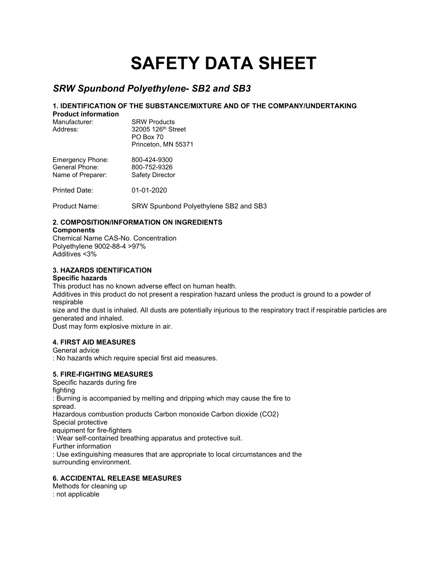# **SAFETY DATA SHEET**

# *SRW Spunbond Polyethylene- SB2 and SB3*

# **1. IDENTIFICATION OF THE SUBSTANCE/MIXTURE AND OF THE COMPANY/UNDERTAKING**

**Product information**

**SRW Products** Address: 32005 126<sup>th</sup> Street PO Box 70 Princeton, MN 55371

| Emergency Phone:  | 800-424-9300           |
|-------------------|------------------------|
| General Phone:    | 800-752-9326           |
| Name of Preparer: | <b>Safety Director</b> |

Printed Date: 01-01-2020

Product Name: SRW Spunbond Polyethylene SB2 and SB3

# **2. COMPOSITION/INFORMATION ON INGREDIENTS**

#### **Components**

Chemical Name CAS-No. Concentration Polyethylene 9002-88-4 >97% Additives <3%

# **3. HAZARDS IDENTIFICATION**

#### **Specific hazards**

This product has no known adverse effect on human health.

Additives in this product do not present a respiration hazard unless the product is ground to a powder of respirable

size and the dust is inhaled. All dusts are potentially injurious to the respiratory tract if respirable particles are generated and inhaled.

Dust may form explosive mixture in air.

# **4. FIRST AID MEASURES**

#### General advice

: No hazards which require special first aid measures.

# **5. FIRE-FIGHTING MEASURES**

Specific hazards during fire fighting : Burning is accompanied by melting and dripping which may cause the fire to spread. Hazardous combustion products Carbon monoxide Carbon dioxide (CO2) Special protective equipment for fire-fighters : Wear self-contained breathing apparatus and protective suit. Further information : Use extinguishing measures that are appropriate to local circumstances and the surrounding environment.

# **6. ACCIDENTAL RELEASE MEASURES**

Methods for cleaning up : not applicable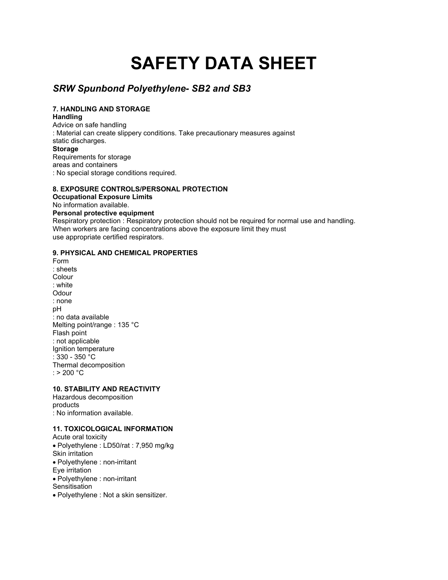# **SAFETY DATA SHEET**

# *SRW Spunbond Polyethylene- SB2 and SB3*

# **7. HANDLING AND STORAGE**

**Handling**

Advice on safe handling : Material can create slippery conditions. Take precautionary measures against static discharges. **Storage** Requirements for storage areas and containers : No special storage conditions required.

#### **8. EXPOSURE CONTROLS/PERSONAL PROTECTION**

**Occupational Exposure Limits** No information available. **Personal protective equipment** Respiratory protection : Respiratory protection should not be required for normal use and handling. When workers are facing concentrations above the exposure limit they must use appropriate certified respirators.

#### **9. PHYSICAL AND CHEMICAL PROPERTIES**

Form : sheets Colour : white **Odour** : none pH : no data available Melting point/range : 135 °C Flash point : not applicable Ignition temperature : 330 - 350 °C Thermal decomposition :  $> 200 °C$ 

# **10. STABILITY AND REACTIVITY**

Hazardous decomposition products : No information available.

# **11. TOXICOLOGICAL INFORMATION**

Acute oral toxicity • Polyethylene : LD50/rat : 7,950 mg/kg Skin irritation • Polyethylene : non-irritant Eye irritation • Polyethylene : non-irritant **Sensitisation** 

• Polyethylene : Not a skin sensitizer.